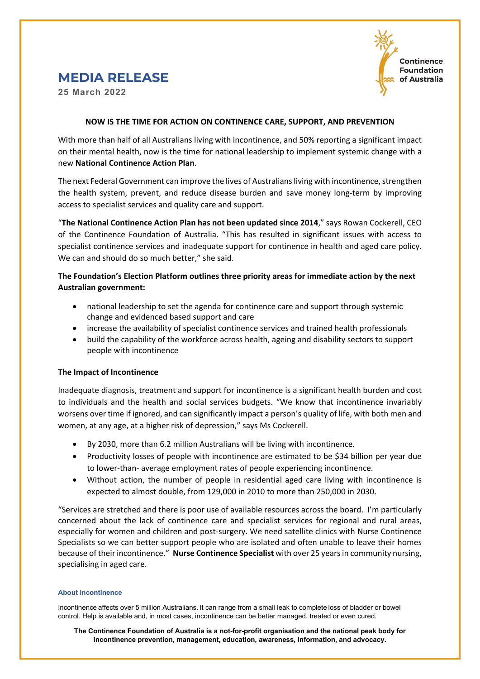

# **MEDIA RELEASE**

**25 March 2022**

### **NOW IS THE TIME FOR ACTION ON CONTINENCE CARE, SUPPORT, AND PREVENTION**

With more than half of all Australians living with incontinence, and 50% reporting a significant impact on their mental health, now is the time for national leadership to implement systemic change with a new **National Continence Action Plan**.

The next Federal Government can improve the lives of Australians living with incontinence, strengthen the health system, prevent, and reduce disease burden and save money long-term by improving access to specialist services and quality care and support.

"**The National Continence Action Plan has not been updated since 2014**," says Rowan Cockerell, CEO of the Continence Foundation of Australia. "This has resulted in significant issues with access to specialist continence services and inadequate support for continence in health and aged care policy. We can and should do so much better," she said.

## **The Foundation's Election Platform outlines three priority areas for immediate action by the next Australian government:**

- national leadership to set the agenda for continence care and support through systemic change and evidenced based support and care
- increase the availability of specialist continence services and trained health professionals
- build the capability of the workforce across health, ageing and disability sectors to support people with incontinence

## **The Impact of Incontinence**

Inadequate diagnosis, treatment and support for incontinence is a significant health burden and cost to individuals and the health and social services budgets. "We know that incontinence invariably worsens over time if ignored, and can significantly impact a person's quality of life, with both men and women, at any age, at a higher risk of depression," says Ms Cockerell.

- By 2030, more than 6.2 million Australians will be living with incontinence.
- Productivity losses of people with incontinence are estimated to be \$34 billion per year due to lower-than- average employment rates of people experiencing incontinence.
- Without action, the number of people in residential aged care living with incontinence is expected to almost double, from 129,000 in 2010 to more than 250,000 in 2030.

"Services are stretched and there is poor use of available resources across the board. I'm particularly concerned about the lack of continence care and specialist services for regional and rural areas, especially for women and children and post-surgery. We need satellite clinics with Nurse Continence Specialists so we can better support people who are isolated and often unable to leave their homes because of their incontinence." **Nurse Continence Specialist** with over 25 years in community nursing, specialising in aged care.

#### **About incontinence**

Incontinence affects over 5 million Australians. It can range from a small leak to complete loss of bladder or bowel control. Help is available and, in most cases, incontinence can be better managed, treated or even cured.

**The Continence Foundation of Australia is a not-for-profit organisation and the national peak body for incontinence prevention, management, education, awareness, information, and advocacy.**